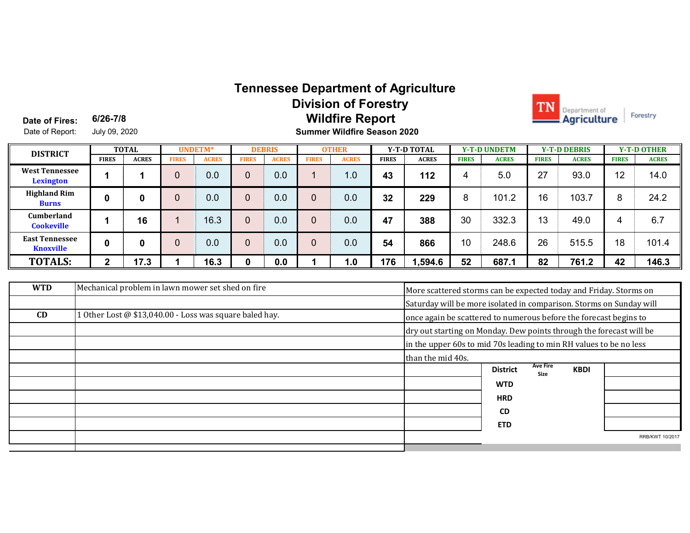## **Tennessee Department of Agriculture Division of Forestry Wildfire Report**



**Date of Fires:** Date of Report: July 09, 2020 **6/26-7/8**

**Summer Wildfire Season 2020**

| <b>DISTRICT</b>                           | <b>TOTAL</b> |              | <b>UNDETM*</b> |              | <b>DEBRIS</b> |              | <b>OTHER</b> |              | <b>Y-T-D TOTAL</b> |              | <b>Y-T-D UNDETM</b> |              | <b>Y-T-D DEBRIS</b> |              | <b>Y-T-D OTHER</b> |              |
|-------------------------------------------|--------------|--------------|----------------|--------------|---------------|--------------|--------------|--------------|--------------------|--------------|---------------------|--------------|---------------------|--------------|--------------------|--------------|
|                                           | <b>FIRES</b> | <b>ACRES</b> | <b>FIRES</b>   | <b>ACRES</b> | FIRES         | <b>ACRES</b> | <b>FIRES</b> | <b>ACRES</b> | <b>FIRES</b>       | <b>ACRES</b> | <b>FIRES</b>        | <b>ACRES</b> | <b>FIRES</b>        | <b>ACRES</b> | <b>FIRES</b>       | <b>ACRES</b> |
| <b>West Tennessee</b><br>Lexington        |              |              |                | 0.0          | 0             | 0.0          |              | 1.0          | 43                 | 112          | д                   | 5.0          | 27                  | 93.0         | 12                 | 14.0         |
| <b>Highland Rim</b><br><b>Burns</b>       | 0            | 0            |                | 0.0          | 0             | 0.0          | 0            | 0.0          | 32                 | 229          | 8                   | 101.2        | 16                  | 103.7        | 8                  | 24.2         |
| <b>Cumberland</b><br><b>Cookeville</b>    |              | 16           |                | 16.3         | 0             | 0.0          |              | 0.0          | 47                 | 388          | 30                  | 332.3        | 13                  | 49.0         | 4                  | 6.7          |
| <b>East Tennessee</b><br><b>Knoxville</b> | 0            | 0            |                | 0.0          | 0             | 0.0          |              | 0.0          | 54                 | 866          | 10                  | 248.6        | 26                  | 515.5        | 18                 | 101.4        |
| <b>TOTALS:</b>                            | ◠            | 17.3         |                | 16.3         | 0             | 0.0          |              | 1.0          | 176                | 1,594.6      | 52                  | 687.1        | 82                  | 761.2        | 42                 | 146.3        |

| <b>WTD</b> | Mechanical problem in lawn mower set shed on fire       | More scattered storms can be expected today and Friday. Storms on   |                                                                     |                         |             |                 |  |  |  |
|------------|---------------------------------------------------------|---------------------------------------------------------------------|---------------------------------------------------------------------|-------------------------|-------------|-----------------|--|--|--|
|            |                                                         | Saturday will be more isolated in comparison. Storms on Sunday will |                                                                     |                         |             |                 |  |  |  |
| CD         | 1 Other Lost @ \$13,040.00 - Loss was square baled hay. | once again be scattered to numerous before the forecast begins to   |                                                                     |                         |             |                 |  |  |  |
|            |                                                         |                                                                     | dry out starting on Monday. Dew points through the forecast will be |                         |             |                 |  |  |  |
|            |                                                         |                                                                     | in the upper 60s to mid 70s leading to min RH values to be no less  |                         |             |                 |  |  |  |
|            |                                                         | than the mid 40s.                                                   |                                                                     |                         |             |                 |  |  |  |
|            |                                                         |                                                                     | <b>District</b>                                                     | <b>Ave Fire</b><br>Size | <b>KBDI</b> |                 |  |  |  |
|            |                                                         |                                                                     | <b>WTD</b>                                                          |                         |             |                 |  |  |  |
|            |                                                         |                                                                     | <b>HRD</b>                                                          |                         |             |                 |  |  |  |
|            |                                                         |                                                                     | <b>CD</b>                                                           |                         |             |                 |  |  |  |
|            |                                                         |                                                                     | <b>ETD</b>                                                          |                         |             |                 |  |  |  |
|            |                                                         |                                                                     |                                                                     |                         |             | RRB/KWT 10/2017 |  |  |  |
|            |                                                         |                                                                     |                                                                     |                         |             |                 |  |  |  |